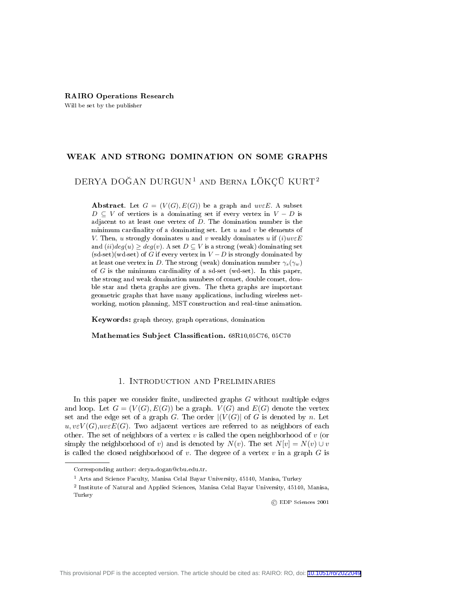#### RAIRO Operations Research

Will be set by the publisher

## WEAK AND STRONG DOMINATION ON SOME GRAPHS

# DERYA DOĞAN DURGUN<sup>1</sup> AND BERNA LÖKÇÜ KURT<sup>2</sup>

**Abstract.** Let  $G = (V(G), E(G))$  be a graph and  $uv \in E$ . A subset  $D \subseteq V$  of vertices is a dominating set if every vertex in  $V - D$  is adjacent to at least one vertex of  $D$ . The domination number is the minimum cardinality of a dominating set. Let  $u$  and  $v$  be elements of V. Then, u strongly dominates u and v weakly dominates u if  $(i)uv \in E$ and  $(ii)deg(u) \geq deg(v)$ . A set  $D \subseteq V$  is a strong (weak) dominating set  $(\text{sd-set})(\text{wd-set})$  of G if every vertex in  $V - D$  is strongly dominated by at least one vertex in D. The strong (weak) domination number  $\gamma_s(\gamma_w)$ of  $G$  is the minimum cardinality of a sd-set (wd-set). In this paper, the strong and weak domination numbers of comet, double comet, double star and theta graphs are given. The theta graphs are important geometric graphs that have many applications, including wireless networking, motion planning, MST construction and real-time animation.

Keywords: graph theory, graph operations, domination

Mathematics Subject Classification. 68R10,05C76, 05C70

## 1. Introduction and Preliminaries

In this paper we consider finite, undirected graphs  $G$  without multiple edges and loop. Let  $G = (V(G), E(G))$  be a graph.  $V(G)$  and  $E(G)$  denote the vertex set and the edge set of a graph G. The order  $|(V(G)|)$  of G is denoted by n. Let  $u, v \in V(G), uv \in E(G)$ . Two adjacent vertices are referred to as neighbors of each other. The set of neighbors of a vertex v is called the open neighborhood of v (or simply the neighborhood of v) and is denoted by  $N(v)$ . The set  $N[v] = N(v) \cup v$ is called the closed neighborhood of v. The degree of a vertex v in a graph  $G$  is

© EDP Sciences 2001

Corresponding author: derya.dogan@cbu.edu.tr.

<sup>1</sup> Arts and Science Faculty, Manisa Celal Bayar University, 45140, Manisa, Turkey

<sup>2</sup> Institute of Natural and Applied Sciences, Manisa Celal Bayar University, 45140, Manisa, Turkey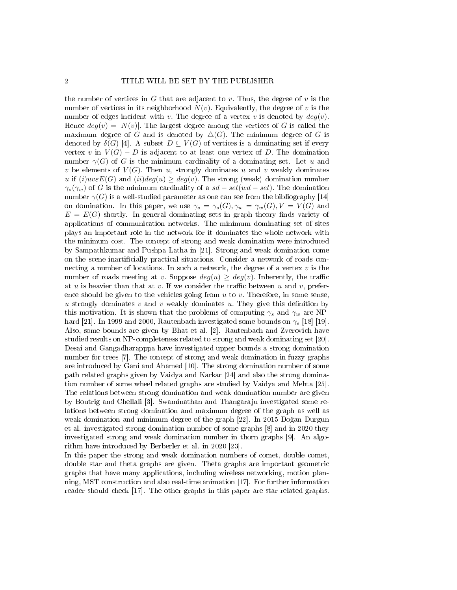the number of vertices in G that are adjacent to v. Thus, the degree of v is the number of vertices in its neighborhood  $N(v)$ . Equivalently, the degree of v is the number of edges incident with v. The degree of a vertex v is denoted by  $deg(v)$ . Hence  $deg(v) = |N(v)|$ . The largest degree among the vertices of G is called the maximum degree of G and is denoted by  $\Delta(G)$ . The minimum degree of G is denoted by  $\delta(G)$  [4]. A subset  $D \subseteq V(G)$  of vertices is a dominating set if every vertex v in  $V(G) - D$  is adjacent to at least one vertex of D. The domination number  $\gamma(G)$  of G is the minimum cardinality of a dominating set. Let u and v be elements of  $V(G)$ . Then u, strongly dominates u and v weakly dominates u if  $(i)uv \in E(G)$  and  $(ii)deg(u) \geq deg(v)$ . The strong (weak) domination number  $\gamma_s(\gamma_w)$  of G is the minimum cardinality of a  $sd - set(wd - set)$ . The domination number  $\gamma(G)$  is a well-studied parameter as one can see from the bibliography [14] on domination. In this paper, we use  $\gamma_s = \gamma_s(G), \gamma_w = \gamma_w(G), V = V(G)$  and  $E = E(G)$  shortly. In general dominating sets in graph theory finds variety of applications of communication networks. The minimum dominating set of sites plays an important role in the network for it dominates the whole network with the minimum cost. The concept of strong and weak domination were introduced by Sampathkumar and Pushpa Latha in [21]. Strong and weak domination come on the scene inartificially practical situations. Consider a network of roads connecting a number of locations. In such a network, the degree of a vertex  $v$  is the number of roads meeting at v. Suppose  $deg(u) > deg(v)$ . Inherently, the traffic at u is heavier than that at v. If we consider the traffic between u and v, preference should be given to the vehicles going from  $u$  to  $v$ . Therefore, in some sense, u strongly dominates v and v weakly dominates u. They give this definition by this motivation. It is shown that the problems of computing  $\gamma_s$  and  $\gamma_w$  are NPhard [21]. In 1999 and 2000, Rautenbach investigated some bounds on  $\gamma_s$  [18] [19]. Also, some bounds are given by Bhat et al. [2]. Rautenbach and Zverovich have studied results on NP-completeness related to strong and weak dominating set [20]. Desai and Gangadharapppa have investigated upper bounds a strong domination number for trees [7]. The concept of strong and weak domination in fuzzy graphs are introduced by Gani and Ahamed [10]. The strong domination number of some path related graphs given by Vaidya and Karkar [24] and also the strong domination number of some wheel related graphs are studied by Vaidya and Mehta [25]. The relations between strong domination and weak domination number are given by Boutrig and Chellali [3]. Swaminathan and Thangaraju investigated some relations between strong domination and maximum degree of the graph as well as weak domination and minimum degree of the graph [22]. In 2015 Doğan Durgun et al. investigated strong domination number of some graphs [8] and in 2020 they investigated strong and weak domination number in thorn graphs [9]. An algorithm have introduced by Berberler et al. in 2020 [23].

In this paper the strong and weak domination numbers of comet, double comet, double star and theta graphs are given. Theta graphs are important geometric graphs that have many applications, including wireless networking, motion planning, MST construction and also real-time animation [17]. For further information reader should check [17]. The other graphs in this paper are star related graphs.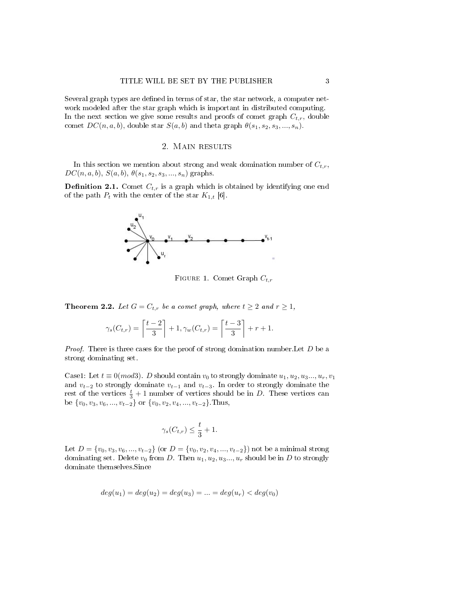Several graph types are defined in terms of star, the star network, a computer network modeled after the star graph which is important in distributed computing. In the next section we give some results and proofs of comet graph  $C_{t,r}$ , double comet  $DC(n, a, b)$ , double star  $S(a, b)$  and theta graph  $\theta(s_1, s_2, s_3, ..., s_n)$ .

#### 2. Main results

In this section we mention about strong and weak domination number of  $C_{t,r}$ ,  $DC(n, a, b), S(a, b), \theta(s_1, s_2, s_3, ..., s_n)$  graphs.

**Definition 2.1.** Comet  $C_{t,r}$  is a graph which is obtained by identifying one end of the path  $P_t$  with the center of the star  $K_{1,t}$  [6].



FIGURE 1. Comet Graph  $C_{t,r}$ 

**Theorem 2.2.** Let  $G = C_{t,r}$  be a comet graph, where  $t \geq 2$  and  $r \geq 1$ ,

$$
\gamma_s(C_{t,r}) = \left\lceil \frac{t-2}{3} \right\rceil + 1, \gamma_w(C_{t,r}) = \left\lceil \frac{t-3}{3} \right\rceil + r + 1.
$$

*Proof.* There is three cases for the proof of strong domination number. Let  $D$  be a strong dominating set.

Case1: Let  $t \equiv 0(mod3)$ . D should contain  $v_0$  to strongly dominate  $u_1, u_2, u_3, \ldots, u_r, v_1$ and  $v_{t-2}$  to strongly dominate  $v_{t-1}$  and  $v_{t-3}$ . In order to strongly dominate the rest of the vertices  $\frac{t}{3}+1$  number of vertices should be in D. These vertices can be  $\{v_0, v_3, v_6, ..., v_{t-2}\}$  or  $\{v_0, v_2, v_4, ..., v_{t-2}\}$ . Thus,

$$
\gamma_s(C_{t,r}) \le \frac{t}{3} + 1.
$$

Let  $D = \{v_0, v_3, v_6, ..., v_{t-2}\}$  (or  $D = \{v_0, v_2, v_4, ..., v_{t-2}\}\$  not be a minimal strong dominating set. Delete  $v_0$  from D. Then  $u_1, u_2, u_3, \ldots, u_r$  should be in D to strongly dominate themselves.Since

$$
deg(u_1) = deg(u_2) = deg(u_3) = \dots = deg(u_r) < deg(v_0)
$$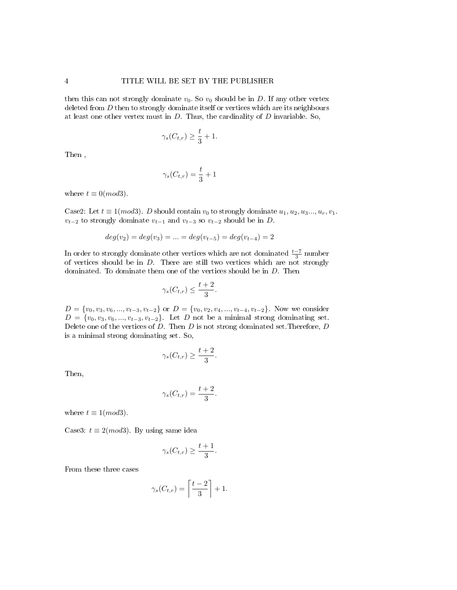then this can not strongly dominate  $v_0$ . So  $v_0$  should be in D. If any other vertex deleted from D then to strongly dominate itself or vertices which are its neighbours at least one other vertex must in  $D$ . Thus, the cardinality of  $D$  invariable. So,

$$
\gamma_s(C_{t,r}) \ge \frac{t}{3} + 1.
$$

Then ,

$$
\gamma_s(C_{t,r}) = \frac{t}{3} + 1
$$

where  $t \equiv 0 \pmod{3}$ .

Case2: Let  $t \equiv 1 (mod3)$ . D should contain  $v_0$  to strongly dominate  $u_1, u_2, u_3, \ldots, u_r, v_1$ .  $v_{t-2}$  to strongly dominate  $v_{t-1}$  and  $v_{t-3}$  so  $v_{t-2}$  should be in D.

$$
deg(v_2) = deg(v_3) = \dots = deg(v_{t-5}) = deg(v_{t-4}) = 2
$$

In order to strongly dominate other vertices which are not dominated  $\frac{t-7}{3}$  number of vertices should be in  $D$ . There are still two vertices which are not strongly dominated. To dominate them one of the vertices should be in D. Then

$$
\gamma_s(C_{t,r}) \le \frac{t+2}{3}.
$$

 $D = \{v_0, v_3, v_6, ..., v_{t-3}, v_{t-2}\}$  or  $D = \{v_0, v_2, v_4, ..., v_{t-4}, v_{t-2}\}.$  Now we consider  $D = \{v_0, v_3, v_6, ..., v_{t-3}, v_{t-2}\}.$  Let D not be a minimal strong dominating set. Delete one of the vertices of  $D$ . Then  $D$  is not strong dominated set. Therefore,  $D$ is a minimal strong dominating set. So,

$$
\gamma_s(C_{t,r}) \ge \frac{t+2}{3}.
$$

Then,

$$
\gamma_s(C_{t,r}) = \frac{t+2}{3}.
$$

where  $t \equiv 1 \pmod{3}$ .

Case3:  $t \equiv 2 \pmod{3}$ . By using same idea

$$
\gamma_s(C_{t,r}) \ge \frac{t+1}{3}.
$$

From these three cases

$$
\gamma_s(C_{t,r}) = \left\lceil \frac{t-2}{3} \right\rceil + 1.
$$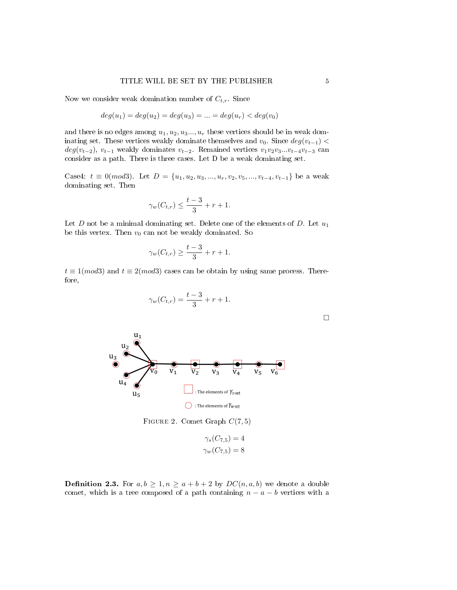Now we consider weak domination number of  $C_{t,r}$ . Since

$$
deg(u_1) = deg(u_2) = deg(u_3) = \dots = deg(u_r) < deg(v_0)
$$

and there is no edges among  $u_1, u_2, u_3, \ldots, u_r$  these vertices should be in weak dominating set. These vertices weakly dominate themselves and  $v_0$ . Since  $deg(v_{t-1})$  <  $deg(v_{t-2}), v_{t-1}$  weakly dominates  $v_{t-2}$ . Remained vertices  $v_1v_2v_3...v_{t-4}v_{t-3}$  can consider as a path. There is three cases. Let D be a weak dominating set.

Case4:  $t \equiv 0 \pmod{3}$ . Let  $D = \{u_1, u_2, u_3, ..., u_r, v_2, v_5, ..., v_{t-4}, v_{t-1}\}$  be a weak dominating set. Then

$$
\gamma_w(C_{t,r}) \le \frac{t-3}{3} + r + 1.
$$

Let D not be a minimal dominating set. Delete one of the elements of D. Let  $u_1$ be this vertex. Then  $v_0$  can not be weakly dominated. So

$$
\gamma_w(C_{t,r}) \ge \frac{t-3}{3} + r + 1.
$$

 $t \equiv 1 (mod3)$  and  $t \equiv 2 (mod3)$  cases can be obtain by using same process. Therefore,

$$
\gamma_w(C_{t,r}) = \frac{t-3}{3} + r + 1.
$$
\n  
\n
$$
u_2
$$
\n  
\n
$$
u_3
$$
\n  
\n
$$
v_0
$$
\n  
\n
$$
v_1
$$
\n  
\n
$$
v_2
$$
\n  
\n
$$
v_3
$$
\n  
\n
$$
v_4
$$
\n  
\n
$$
v_5
$$
\n  
\n
$$
v_6
$$
\n  
\n
$$
u_4
$$
\n  
\n
$$
u_5
$$
\n  
\n
$$
\beta
$$
\n  
\n
$$
\beta
$$
\n  
\n
$$
\beta
$$
\n  
\n
$$
\beta
$$
\n  
\n
$$
\beta
$$
\n  
\n
$$
\beta
$$
\n  
\n
$$
\beta
$$
\n  
\n
$$
\beta
$$
\n  
\n
$$
\beta
$$
\n  
\n
$$
\beta
$$
\n  
\n
$$
\beta
$$
\n  
\n
$$
\beta
$$
\n  
\n
$$
\beta
$$
\n  
\n
$$
\beta
$$
\n  
\n
$$
\beta
$$
\n  
\n
$$
\beta
$$
\n  
\n
$$
\beta
$$
\n  
\n
$$
\beta
$$
\n  
\n
$$
\beta
$$
\n  
\n
$$
\beta
$$
\n  
\n
$$
\beta
$$
\n  
\n
$$
\beta
$$
\n  
\n
$$
\beta
$$
\n  
\n
$$
\beta
$$
\n  
\n
$$
\beta
$$
\n  
\n
$$
\beta
$$
\n  
\n
$$
\beta
$$
\n  
\n
$$
\beta
$$
\n  
\n
$$
\beta
$$
\n  
\n
$$
\beta
$$
\n  
\n
$$
\beta
$$
\n  
\n
$$
\beta
$$
\n  
\n
$$
\beta
$$
\n  
\n
$$
\beta
$$
\n  
\n
$$
\beta
$$
\n  
\n
$$
\beta
$$
\n  
\n
$$
\beta
$$
\n  
\n
$$
\beta
$$
\n  
\n
$$
\beta
$$
\n  
\n
$$
\beta
$$

FIGURE 2. Comet Graph  $C(7,5)$ 

$$
\gamma_s(C_{7,5}) = 4
$$
  

$$
\gamma_w(C_{7,5}) = 8
$$

**Definition 2.3.** For  $a, b \geq 1, n \geq a+b+2$  by  $DC(n, a, b)$  we denote a double comet, which is a tree composed of a path containing  $n - a - b$  vertices with a

□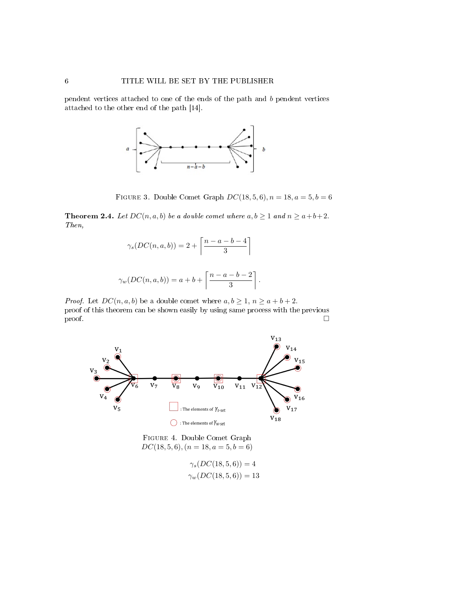pendent vertices attached to one of the ends of the path and b pendent vertices attached to the other end of the path [14].



FIGURE 3. Double Comet Graph  $DC(18, 5, 6), n = 18, a = 5, b = 6$ 

**Theorem 2.4.** Let  $DC(n, a, b)$  be a double comet where  $a, b \ge 1$  and  $n \ge a+b+2$ . Then,

$$
\gamma_s(DC(n, a, b)) = 2 + \left\lceil \frac{n - a - b - 4}{3} \right\rceil
$$
  

$$
\gamma_w(DC(n, a, b)) = a + b + \left\lceil \frac{n - a - b - 2}{3} \right\rceil.
$$

*Proof.* Let  $DC(n, a, b)$  be a double comet where  $a, b \geq 1, n \geq a+b+2$ . proof of this theorem can be shown easily by using same process with the previous proof.  $\Box$ 



Figure 4. Double Comet Graph  $DC(18, 5, 6), (n = 18, a = 5, b = 6)$ 

$$
\gamma_s(DC(18,5,6)) = 4
$$
  

$$
\gamma_w(DC(18,5,6)) = 13
$$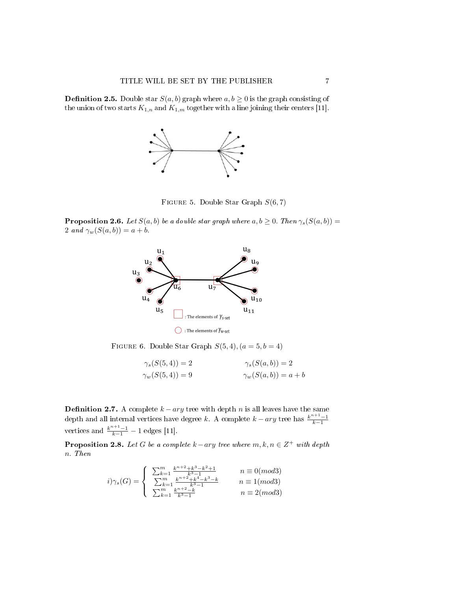**Definition 2.5.** Double star  $S(a, b)$  graph where  $a, b \ge 0$  is the graph consisting of the union of two starts  $K_{1,n}$  and  $K_{1,m}$  together with a line joining their centers [11].



FIGURE 5. Double Star Graph  $S(6, 7)$ 

**Proposition 2.6.** Let  $S(a, b)$  be a double star graph where  $a, b \ge 0$ . Then  $\gamma_s(S(a, b))$  = 2 and  $\gamma_w(S(a, b)) = a + b$ .



FIGURE 6. Double Star Graph  $S(5,4)$ ,  $(a=5, b=4)$ 

| $\gamma_s(S(5,4)) = 2$  | $\gamma_s(S(a,b))=2$     |
|-------------------------|--------------------------|
| $\gamma_w(S(5, 4)) = 9$ | $\gamma_w(S(a,b)) = a+b$ |

**Definition 2.7.** A complete  $k - ary$  tree with depth n is all leaves have the same depth and all internal vertices have degree k. A complete  $k - ary$  tree has  $\frac{k^{n+1}-1}{k-1}$ vertices and  $\frac{k^{n+1}-1}{k-1} - 1$  edges [11].

**Proposition 2.8.** Let G be a complete  $k - ary$  tree where  $m, k, n \in \mathbb{Z}^+$  with depth n. Then

$$
i)\gamma_s(G) = \begin{cases} \sum_{k=1}^m \frac{k^{n+2} + k^3 - k^2 + 1}{k^3 - 1} & n \equiv 0 \pmod{3} \\ \sum_{k=1}^m \frac{k^{n+2} + k^4 - k^3 - k}{k^3 - 1} & n \equiv 1 \pmod{3} \\ \sum_{k=1}^m \frac{k^{n+2} - k}{k^3 - 1} & n \equiv 2 \pmod{3} \end{cases}
$$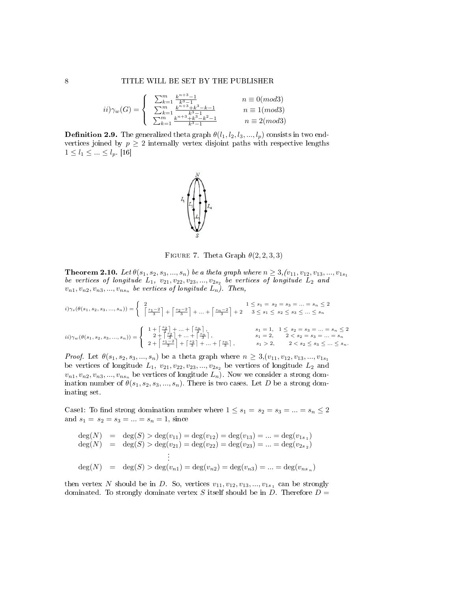$$
ii)\gamma_w(G) = \begin{cases}\n\sum_{k=1}^m \frac{k^{n+3}-1}{k^3-1} & n \equiv 0 \pmod{3} \\
\sum_{k=1}^m \frac{k^{n+3}+k^3-k-1}{k^3-1} & n \equiv 1 \pmod{3} \\
\sum_{k=1}^m \frac{k^{n+3}+k^3-k^2-1}{k^3-1} & n \equiv 2 \pmod{3}\n\end{cases}
$$

**Definition 2.9.** The generalized theta graph  $\theta(l_1, l_2, l_3, ..., l_p)$  consists in two endvertices joined by  $p \geq 2$  internally vertex disjoint paths with respective lengths  $1 \leq l_1 \leq ... \leq l_p$ . [16]



FIGURE 7. Theta Graph  $\theta(2, 2, 3, 3)$ 

**Theorem 2.10.** Let  $\theta(s_1, s_2, s_3, ..., s_n)$  be a theta graph where  $n \geq 3$ ,  $(v_{11}, v_{12}, v_{13}, ..., v_{1s_1})$ be vertices of longitude  $L_1$ ,  $v_{21}, v_{22}, v_{23}, ..., v_{2s_2}$  be vertices of longitude  $L_2$  and  $v_{n1}, v_{n2}, v_{n3}, ..., v_{ns_n}$  be vertices of longitude  $L_n$ ). Then,

$$
i) \gamma_s(\theta(s_1, s_2, s_3, ..., s_n)) = \begin{cases} 2 & 1 \le s_1 = s_2 = s_3 = ... = s_n \le 2 \\ \left\lceil \frac{s_1 - 2}{3} \right\rceil + \left\lceil \frac{s_2 - 2}{3} \right\rceil + ... + \left\lceil \frac{s_n - 2}{3} \right\rceil + 2 & 3 \le s_1 \le s_2 \le s_3 \le ... \le s_n \end{cases}
$$
  
\n
$$
ii) \gamma_w(\theta(s_1, s_2, s_3, ..., s_n)) = \begin{cases} 1 + \left\lceil \frac{s_2}{3} \right\rceil + ... + \left\lceil \frac{s_n}{3} \right\rceil, & s_1 = 1, 1 \le s_2 = s_3 = ... = s_n \le 2 \\ 2 + \left\lceil \frac{s_2}{3} \right\rceil + ... + \left\lceil \frac{s_n}{3} \right\rceil, & s_1 = 2, 2 < s_2 = s_3 = ... = s_n \le 2 \\ 2 + \left\lceil \frac{s_1 - 2}{3} \right\rceil + \left\lceil \frac{s_2}{3} \right\rceil + ... + \left\lceil \frac{s_n}{3} \right\rceil, & s_1 > 2, 2 < s_2 \le s_3 \le ... \le s_n. \end{cases}
$$

*Proof.* Let  $\theta(s_1, s_2, s_3, ..., s_n)$  be a theta graph where  $n \geq 3, (v_{11}, v_{12}, v_{13}, ..., v_{1s_1})$ be vertices of longitude  $L_1$ ,  $v_{21}$ ,  $v_{22}$ ,  $v_{23}$ , ...,  $v_{2s_2}$  be vertices of longitude  $L_2$  and  $v_{n1}, v_{n2}, v_{n3}, ..., v_{ns_n}$  be vertices of longitude  $\overline{L_n}$ . Now we consider a strong domination number of  $\theta(s_1, s_2, s_3, ..., s_n)$ . There is two cases. Let D be a strong dominating set.

Case1: To find strong domination number where  $1 \leq s_1 = s_2 = s_3 = ... = s_n \leq 2$ and  $s_1 = s_2 = s_3 = ... = s_n = 1$ , since

$$
deg(N) = deg(S) > deg(v_{11}) = deg(v_{12}) = deg(v_{13}) = ... = deg(v_{1s_1})
$$
  
\n
$$
deg(N) = deg(S) > deg(v_{21}) = deg(v_{22}) = deg(v_{23}) = ... = deg(v_{2s_2})
$$
  
\n
$$
\vdots
$$
  
\n
$$
deg(N) = deg(S) > deg(v_{n1}) = deg(v_{n2}) = deg(v_{n3}) = ... = deg(v_{ns_n})
$$

then vertex N should be in D. So, vertices  $v_{11}, v_{12}, v_{13}, ..., v_{1s_1}$  can be strongly dominated. To strongly dominate vertex S itself should be in D. Therefore  $D =$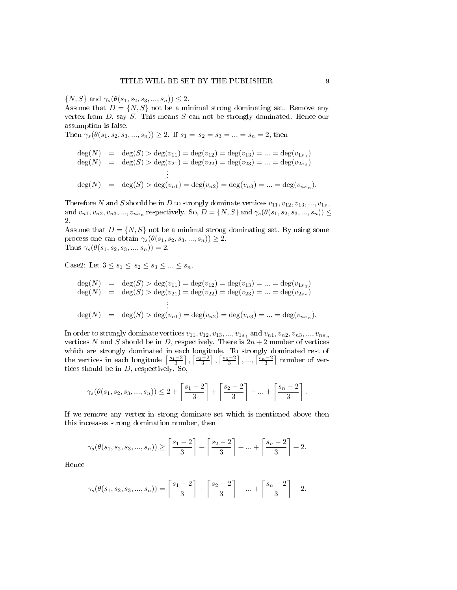$\{N, S\}$  and  $\gamma_s(\theta(s_1, s_2, s_3, ..., s_n)) \leq 2$ .

Assume that  $D = \{N, S\}$  not be a minimal strong dominating set. Remove any vertex from  $D$ , say  $S$ . This means  $S$  can not be strongly dominated. Hence our assumption is false.

Then  $\gamma_s(\theta(s_1, s_2, s_3, ..., s_n)) \geq 2$ . If  $s_1 = s_2 = s_3 = ... = s_n = 2$ , then

$$
deg(N) = deg(S) > deg(v_{11}) = deg(v_{12}) = deg(v_{13}) = ... = deg(v_{1s_1})
$$
  
\n
$$
deg(N) = deg(S) > deg(v_{21}) = deg(v_{22}) = deg(v_{23}) = ... = deg(v_{2s_2})
$$
  
\n
$$
\vdots
$$
  
\n
$$
deg(N) = deg(S) > deg(v_{n1}) = deg(v_{n2}) = deg(v_{n3}) = ... = deg(v_{ns_n}).
$$

Therefore N and S should be in D to strongly dominate vertices  $v_{11}, v_{12}, v_{13}, ..., v_{1s_1}$ and  $v_{n1}, v_{n2}, v_{n3}, ..., v_{ns_n}$  respectively. So,  $D = \{N, S\}$  and  $\gamma_s(\theta(s_1, s_2, s_3, ..., s_n)) \leq$ 2.

Assume that  $D = \{N, S\}$  not be a minimal strong dominating set. By using some process one can obtain  $\gamma_s(\theta(s_1, s_2, s_3, ..., s_n)) \geq 2$ . Thus  $\gamma_s(\theta(s_1, s_2, s_3, ..., s_n)) = 2$ .

Case2: Let  $3 \leq s_1 \leq s_2 \leq s_3 \leq \ldots \leq s_n$ .

$$
deg(N) = deg(S) > deg(v_{11}) = deg(v_{12}) = deg(v_{13}) = ... = deg(v_{1s_1})
$$
  
\n
$$
deg(N) = deg(S) > deg(v_{21}) = deg(v_{22}) = deg(v_{23}) = ... = deg(v_{2s_2})
$$
  
\n
$$
\vdots
$$
  
\n
$$
deg(N) = deg(S) > deg(v_{n1}) = deg(v_{n2}) = deg(v_{n3}) = ... = deg(v_{ns_n}).
$$

In order to strongly dominate vertices  $v_{11}, v_{12}, v_{13}, ..., v_{1s_1}$  and  $v_{n1}, v_{n2}, v_{n3}, ..., v_{ns_n}$ vertices N and S should be in D, respectively. There is  $2n + 2$  number of vertices which are strongly dominated in each longitude. To strongly dominated rest of the vertices in each longitude  $\left\lceil \frac{s_1-2}{3}\right\rceil, \left\lceil \frac{s_2-2}{3}\right\rceil, \left\lceil \frac{s_3-2}{3}\right\rceil, ..., \left\lceil \frac{s_n-2}{3}\right\rceil$  number of vertices should be in D, respectively. So,

$$
\gamma_s(\theta(s_1, s_2, s_3, ..., s_n)) \leq 2 + \left\lceil \frac{s_1 - 2}{3} \right\rceil + \left\lceil \frac{s_2 - 2}{3} \right\rceil + ... + \left\lceil \frac{s_n - 2}{3} \right\rceil.
$$

If we remove any vertex in strong dominate set which is mentioned above then this increases strong domination number, then

$$
\gamma_s(\theta(s_1, s_2, s_3, ..., s_n)) \ge \left\lceil \frac{s_1 - 2}{3} \right\rceil + \left\lceil \frac{s_2 - 2}{3} \right\rceil + ... + \left\lceil \frac{s_n - 2}{3} \right\rceil + 2.
$$

Hence

$$
\gamma_s(\theta(s_1, s_2, s_3, ..., s_n)) = \left\lceil \frac{s_1 - 2}{3} \right\rceil + \left\lceil \frac{s_2 - 2}{3} \right\rceil + ... + \left\lceil \frac{s_n - 2}{3} \right\rceil + 2.
$$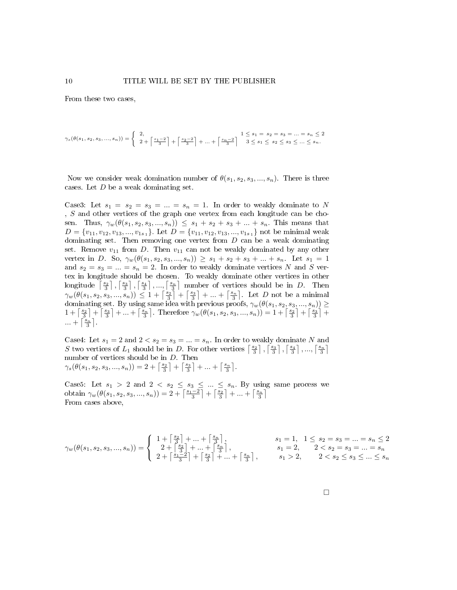From these two cases,

$$
\gamma_s(\theta(s_1,s_2,s_3,...,s_n))=\left\{\begin{array}{c}2,\\2+\left\lceil\frac{s_1-2}{3}\right\rceil+\left\lceil\frac{s_2-2}{3}\right\rceil+...+\left\lceil\frac{s_n-2}{3}\right\rceil\begin{array}{c}1\leq s_1=s_2=s_3=...=s_n\leq 2\\3\leq s_1\leq s_2\leq s_3\leq...\leq s_n.\end{array}\right.
$$

Now we consider weak domination number of  $\theta(s_1, s_2, s_3, ..., s_n)$ . There is three cases. Let D be a weak dominating set.

Case3: Let  $s_1 = s_2 = s_3 = ... = s_n = 1$ . In order to weakly dominate to N , S and other vertices of the graph one vertex from each longitude can be chosen. Thus,  $\gamma_w(\theta(s_1, s_2, s_3, ..., s_n)) \leq s_1 + s_2 + s_3 + ... + s_n$ . This means that  $D = \{v_{11}, v_{12}, v_{13}, ..., v_{1s_1}\}\.$  Let  $D = \{v_{11}, v_{12}, v_{13}, ..., v_{1s_1}\}\$  not be minimal weak dominating set. Then removing one vertex from  $D$  can be a weak dominating set. Remove  $v_{11}$  from D. Then  $v_{11}$  can not be weakly dominated by any other vertex in D. So,  $\gamma_w(\theta(s_1, s_2, s_3, ..., s_n)) \geq s_1 + s_2 + s_3 + ... + s_n$ . Let  $s_1 = 1$ and  $s_2 = s_3 = ... = s_n = 2$ . In order to weakly dominate vertices N and S vertex in longitude should be chosen. To weakly dominate other vertices in other longitude  $\lceil \frac{s_2}{3} \rceil$ ,  $\lceil \frac{s_3}{3} \rceil$ ,  $\ldots$ ,  $\lceil \frac{s_n}{3} \rceil$  number of vertices should be in D. Then  $\gamma_w(\theta(s_1, s_2, s_3, ..., s_n)) \leq 1 + \left\lceil \frac{s_2}{3} \right\rceil + \left\lceil \frac{s_3}{3} \right\rceil + ... + \left\lceil \frac{s_n}{3} \right\rceil$ . Let D not be a minimal dominating set. By using same idea with previous proofs,  $\gamma_w(\theta(s_1, s_2, s_3, ..., s_n)) \geq$  $1 + \left\lceil \frac{s_2}{3} \right\rceil + \left\lceil \frac{s_3}{3} \right\rceil + \ldots + \left\lceil \frac{s_n}{3} \right\rceil$ . Therefore  $\gamma_w(\theta(s_1, s_2, s_3, ..., s_n)) = 1 + \left\lceil \frac{s_2}{3} \right\rceil + \left\lceil \frac{s_3}{3} \right\rceil +$  $\ldots + \left\lceil \frac{s_n}{3} \right\rceil$ .

Case4: Let  $s_1 = 2$  and  $2 < s_2 = s_3 = ... = s_n$ . In order to weakly dominate N and S two vertices of  $L_1$  should be in D. For other vertices  $\lceil \frac{s_2}{3} \rceil$ ,  $\lceil \frac{s_3}{3} \rceil$ ,  $\lceil \frac{s_4}{3} \rceil$ , ...,  $\lceil \frac{s_n}{3} \rceil$ number of vertices should be in D. Then  $\gamma_s(\theta(s_1, s_2, s_3, ..., s_n)) = 2 + \left\lceil \frac{s_2}{3} \right\rceil + \left\lceil \frac{s_3}{3} \right\rceil + ... + \left\lceil \frac{s_n}{3} \right\rceil.$ 

Case5: Let  $s_1 > 2$  and  $2 < s_2 \leq s_3 \leq ... \leq s_n$ . By using same process we obtain  $\gamma_w(\theta(s_1, s_2, s_3, ..., s_n)) = 2 + \left\lceil \frac{s_1 - 2}{3} \right\rceil + \left\lceil \frac{s_2}{3} \right\rceil + ... + \left\lceil \frac{s_n}{3} \right\rceil$ From cases above,

$$
\gamma_w(\theta(s_1, s_2, s_3, ..., s_n)) = \begin{cases} 1 + \left\lceil \frac{s_2}{3} \right\rceil + ... + \left\lceil \frac{s_n}{3} \right\rceil, & s_1 = 1, 1 \le s_2 = s_3 = ... = s_n \le 2\\ 2 + \left\lceil \frac{s_2}{3} \right\rceil + ... + \left\lceil \frac{s_n}{3} \right\rceil, & s_1 = 2, 2 < s_2 = s_3 = ... = s_n\\ 2 + \left\lceil \frac{s_1 - 2}{3} \right\rceil + \left\lceil \frac{s_2}{3} \right\rceil + ... + \left\lceil \frac{s_n}{3} \right\rceil, & s_1 > 2, 2 < s_2 \le s_3 \le ... \le s_n \end{cases}
$$

□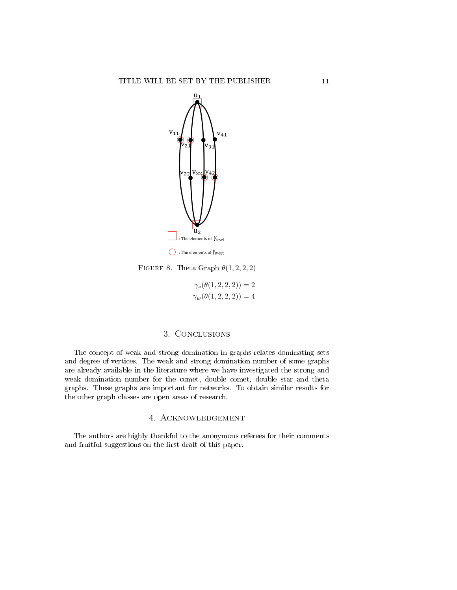

FIGURE 8. Theta Graph  $\theta(1,2,2,2)$ 

 $\gamma_s(\theta(1, 2, 2, 2)) = 2$  $\gamma_w(\theta(1, 2, 2, 2)) = 4$ 

## 3. Conclusions

The concept of weak and strong domination in graphs relates dominating sets and degree of vertices. The weak and strong domination number of some graphs are already available in the literature where we have investigated the strong and weak domination number for the comet, double comet, double star and theta graphs. These graphs are important for networks. To obtain similar results for the other graph classes are open areas of research.

## 4. Acknowledgement

The authors are highly thankful to the anonymous referees for their comments and fruitful suggestions on the first draft of this paper.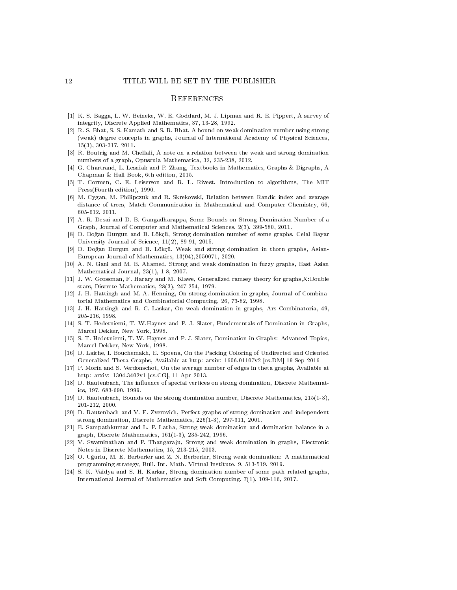### **REFERENCES**

- [1] K. S. Bagga, L. W. Beineke, W. E. Goddard, M. J. Lipman and R. E. Pippert, A survey of integrity, Discrete Applied Mathematics, 37, 13-28, 1992.
- [2] R. S. Bhat, S. S. Kamath and S. R. Bhat, A bound on weak domination number using strong (weak) degree concepts in graphs, Journal of International Academy of Physical Sciences, 15(3), 303-317, 2011.
- [3] R. Boutrig and M. Chellali, A note on a relation between the weak and strong domination numbers of a graph, Opuscula Mathematica, 32, 235-238, 2012.
- [4] G. Chartrand, L. Lesniak and P. Zhang, Textbooks in Mathematics, Graphs & Digraphs, A Chapman & Hall Book, 6th edition, 2015.
- [5] T. Cormen, C. E. Leiserson and R. L. Rivest, Introduction to algorithms, The MIT Press(Fourth edition), 1990.
- [6] M. Cygan, M. Philipczuk and R. Skrekovski, Relation between Randic index and avarage distance of trees, Match Communication in Mathematical and Computer Chemistry, 66, 605-612, 2011.
- [7] A. R. Desai and D. B. Gangadharappa, Some Bounds on Strong Domination Number of a Graph, Journal of Computer and Mathematical Sciences, 2(3), 399-580, 2011.
- [8] D. Do§an Durgun and B. Lökçü, Strong domination number of some graphs, Celal Bayar University Journal of Science, 11(2), 89-91, 2015.
- [9] D. Do§an Durgun and B. Lökçü, Weak and strong domination in thorn graphs, Asian-European Journal of Mathematics, 13(04),2050071, 2020.
- [10] A. N. Gani and M. B. Ahamed, Strong and weak domination in fuzzy graphs, East Asian Mathematical Journal, 23(1), 1-8, 2007.
- [11] J. W. Grossman, F. Harary and M. Klawe, Generalized ramsey theory for graphs,X:Double stars, Discrete Mathematics, 28(3), 247-254, 1979.
- [12] J. H. Hattingh and M. A. Henning, On strong domination in graphs, Journal of Combinatorial Mathematics and Combinatorial Computing, 26, 73-82, 1998.
- [13] J. H. Hattingh and R. C. Laskar, On weak domination in graphs, Ars Combinatoria, 49, 205-216, 1998.
- [14] S. T. Hedetniemi, T. W.Haynes and P. J. Slater, Fundementals of Domination in Graphs, Marcel Dekker, New York, 1998.
- [15] S. T. Hedetniemi, T. W. Haynes and P. J. Slater, Domination in Graphs: Advanced Topics, Marcel Dekker, New York, 1998.
- [16] D. Laiche, I. Bouchemakh, E. Spoena, On the Packing Coloring of Undirected and Oriented Generalized Theta Graphs, Available at http: arxiv: 1606.01107v2 [cs.DM] 19 Sep 2016
- [17] P. Morin and S. Verdonschot, On the average number of edges in theta graphs, Available at http: arxiv: 1304.3402v1 [cs.CG], 11 Apr 2013.
- [18] D. Rautenbach, The influence of special vertices on strong domination, Discrete Mathematics, 197, 683-690, 1999.
- [19] D. Rautenbach, Bounds on the strong domination number, Discrete Mathematics, 215(1-3), 201-212, 2000.
- [20] D. Rautenbach and V. E. Zverovich, Perfect graphs of strong domination and independent strong domination, Discrete Mathematics, 226(1-3), 297-311, 2001.
- [21] E. Sampathkumar and L. P. Latha, Strong weak domination and domination balance in a graph, Discrete Mathematics, 161(1-3), 235-242, 1996.
- [22] V. Swaminathan and P. Thangaraju, Strong and weak domination in graphs, Electronic Notes in Discrete Mathematics, 15, 213-215, 2003.
- [23] O. U§urlu, M. E. Berberler and Z. N. Berberler, Strong weak domination: A mathematical programming strategy, Bull. Int. Math. Virtual Institute, 9, 513-519, 2019.
- [24] S. K. Vaidya and S. H. Karkar, Strong domination number of some path related graphs, International Journal of Mathematics and Soft Computing, 7(1), 109-116, 2017.